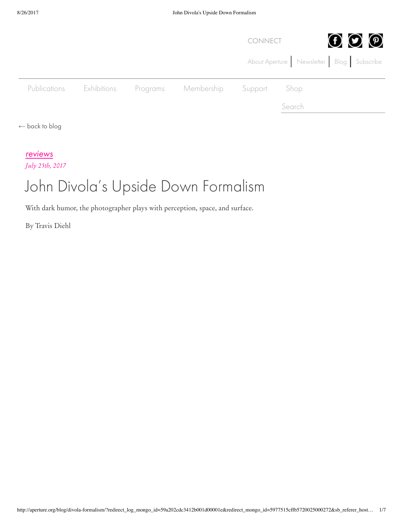|                           |             |          |            | <b>CONNECT</b> |        | $\mathbf{\Theta} \boldsymbol{\odot} \mathbf{\Theta}$ |
|---------------------------|-------------|----------|------------|----------------|--------|------------------------------------------------------|
|                           |             |          |            |                |        | About Aperture Newsletter Blog Subscribe             |
| Publications              | Exhibitions | Programs | Membership | Support        | Shop   |                                                      |
|                           |             |          |            |                | Search |                                                      |
| $\leftarrow$ back to blog |             |          |            |                |        |                                                      |

## reviews

*July 25th, 2017*

## John Divola's Upside Down Formalism

With dark humor, the photographer plays with perception, space, and surface.

By Travis Diehl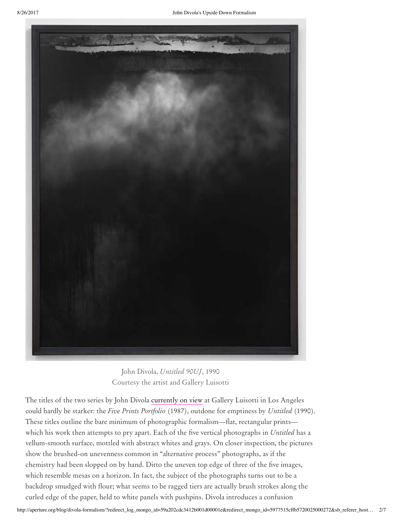

John Divola, *Untitled 90UJ*, 1990 Courtesy the artist and Gallery Luisotti

The titles of the two series by John Divola currently on view at Gallery Luisotti in Los Angeles could hardly be starker: the *Five Prints Portfolio* (1987), outdone for emptiness by *Untitled* (1990). These titles outline the bare minimum of photographic formalism—flat, rectangular prints which his work then attempts to pry apart. Each of the five vertical photographs in *Untitled* has a vellum-smooth surface, mottled with abstract whites and grays. On closer inspection, the pictures show the brushed-on unevenness common in "alternative process" photographs, as if the chemistry had been slopped on by hand. Ditto the uneven top edge of three of the five images, which resemble mesas on a horizon. In fact, the subject of the photographs turns out to be a backdrop smudged with flour; what seems to be ragged tiers are actually brush strokes along the curled edge of the paper, held to white panels with pushpins. Divola introduces a confusion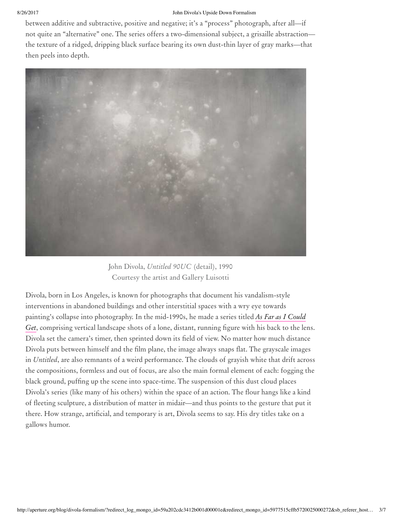## 8/26/2017 John Divola's Upside Down Formalism

between additive and subtractive, positive and negative; it's a "process" photograph, after all—if not quite an "alternative" one. The series offers a two-dimensional subject, a grisaille abstraction the texture of a ridged, dripping black surface bearing its own dust-thin layer of gray marks—that then peels into depth.



John Divola, *Untitled 90UC* (detail), 1990 Courtesy the artist and Gallery Luisotti

Divola, born in Los Angeles, is known for photographs that document his vandalism-style interventions in abandoned buildings and other interstitial spaces with a wry eye towards painting's collapse into photography. In the mid-1990s, he made a series titled *As Far as I Could Get*, comprising vertical landscape shots of a lone, distant, running figure with his back to the lens. Divola set the camera's timer, then sprinted down its field of view. No matter how much distance Divola puts between himself and the film plane, the image always snaps flat. The grayscale images in *Untitled*, are also remnants of a weird performance. The clouds of grayish white that drift across the compositions, formless and out of focus, are also the main formal element of each: fogging the black ground, puffing up the scene into space-time. The suspension of this dust cloud places Divola's series (like many of his others) within the space of an action. The flour hangs like a kind of fleeting sculpture, a distribution of matter in midair—and thus points to the gesture that put it there. How strange, artificial, and temporary is art, Divola seems to say. His dry titles take on a gallows humor.